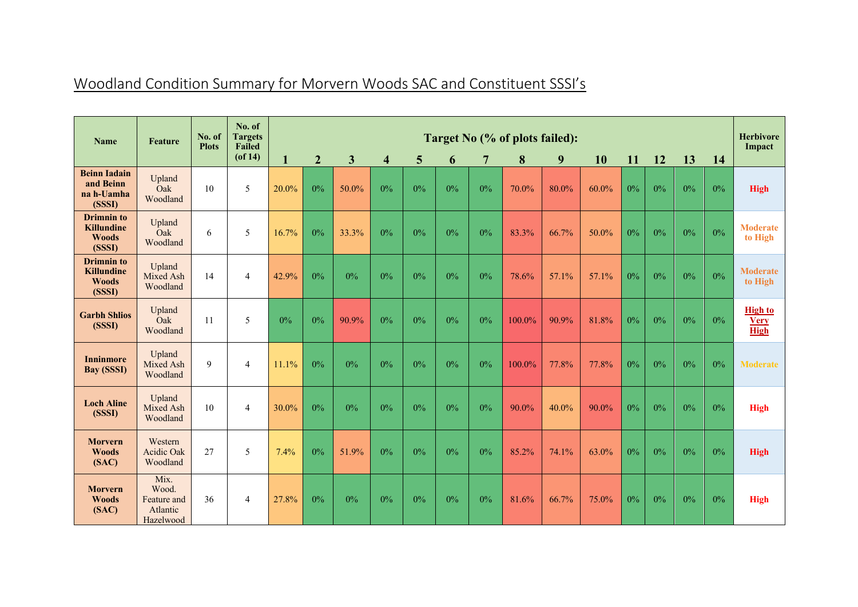| <b>Name</b>                                                      | <b>Feature</b>                                        | No. of<br><b>Plots</b> | No. of<br><b>Targets</b><br><b>Failed</b> | Target No (% of plots failed): |                |              |                         |                 |    |                |        |       |       |       | <b>Herbivore</b><br>Impact |       |       |                                              |
|------------------------------------------------------------------|-------------------------------------------------------|------------------------|-------------------------------------------|--------------------------------|----------------|--------------|-------------------------|-----------------|----|----------------|--------|-------|-------|-------|----------------------------|-------|-------|----------------------------------------------|
|                                                                  |                                                       |                        | $($ of 14 $)$                             | $\mathbf{1}$                   | $\overline{2}$ | $\mathbf{3}$ | $\overline{\mathbf{4}}$ | $5\phantom{.0}$ | 6  | $\overline{7}$ | 8      | 9     | 10    | 11    | 12                         | 13    | 14    |                                              |
| <b>Beinn Iadain</b><br>and Beinn<br>na h-Uamha<br>(SSSI)         | Upland<br>Oak<br>Woodland                             | 10                     | 5                                         | 20.0%                          | $0\%$          | 50.0%        | $0\%$                   | $0\%$           | 0% | $0\%$          | 70.0%  | 80.0% | 60.0% | $0\%$ | $0\%$                      | $0\%$ | $0\%$ | <b>High</b>                                  |
| <b>Drimnin</b> to<br><b>Killundine</b><br><b>Woods</b><br>(SSSI) | Upland<br>Oak<br>Woodland                             | 6                      | 5                                         | 16.7%                          | 0%             | 33.3%        | $0\%$                   | $0\%$           | 0% | $0\%$          | 83.3%  | 66.7% | 50.0% | $0\%$ | $0\%$                      | $0\%$ | 0%    | <b>Moderate</b><br>to High                   |
| <b>Drimnin</b> to<br><b>Killundine</b><br><b>Woods</b><br>(SSSI) | Upland<br>Mixed Ash<br>Woodland                       | 14                     | 4                                         | 42.9%                          | 0%             | 0%           | $0\%$                   | $0\%$           | 0% | $0\%$          | 78.6%  | 57.1% | 57.1% | $0\%$ | 0%                         | $0\%$ | $0\%$ | <b>Moderate</b><br>to High                   |
| <b>Garbh Shlios</b><br>(SSSI)                                    | Upland<br>Oak<br>Woodland                             | 11                     | 5                                         | 0%                             | $0\%$          | 90.9%        | $0\%$                   | $0\%$           | 0% | $0\%$          | 100.0% | 90.9% | 81.8% | $0\%$ | 0%                         | $0\%$ | $0\%$ | <b>High to</b><br><b>Very</b><br><b>High</b> |
| <b>Inninmore</b><br><b>Bay (SSSI)</b>                            | Upland<br>Mixed Ash<br>Woodland                       | 9                      | $\overline{4}$                            | 11.1%                          | 0%             | $0\%$        | 0%                      | $0\%$           | 0% | $0\%$          | 100.0% | 77.8% | 77.8% | $0\%$ | $0\%$                      | $0\%$ | $0\%$ | <b>Moderate</b>                              |
| <b>Loch Aline</b><br>(SSSI)                                      | Upland<br>Mixed Ash<br>Woodland                       | 10                     | 4                                         | 30.0%                          | $0\%$          | $0\%$        | $0\%$                   | $0\%$           | 0% | $0\%$          | 90.0%  | 40.0% | 90.0% | $0\%$ | $0\%$                      | $0\%$ | $0\%$ | <b>High</b>                                  |
| <b>Morvern</b><br><b>Woods</b><br>(SAC)                          | Western<br><b>Acidic Oak</b><br>Woodland              | 27                     | 5                                         | 7.4%                           | 0%             | 51.9%        | $0\%$                   | $0\%$           | 0% | $0\%$          | 85.2%  | 74.1% | 63.0% | $0\%$ | $0\%$                      | $0\%$ | $0\%$ | <b>High</b>                                  |
| <b>Morvern</b><br><b>Woods</b><br>(SAC)                          | Mix.<br>Wood.<br>Feature and<br>Atlantic<br>Hazelwood | 36                     | $\overline{4}$                            | 27.8%                          | $0\%$          | $0\%$        | $0\%$                   | $0\%$           | 0% | $0\%$          | 81.6%  | 66.7% | 75.0% | $0\%$ | $0\%$                      | $0\%$ | 0%    | <b>High</b>                                  |

## Woodland Condition Summary for Morvern Woods SAC and Constituent SSSI's